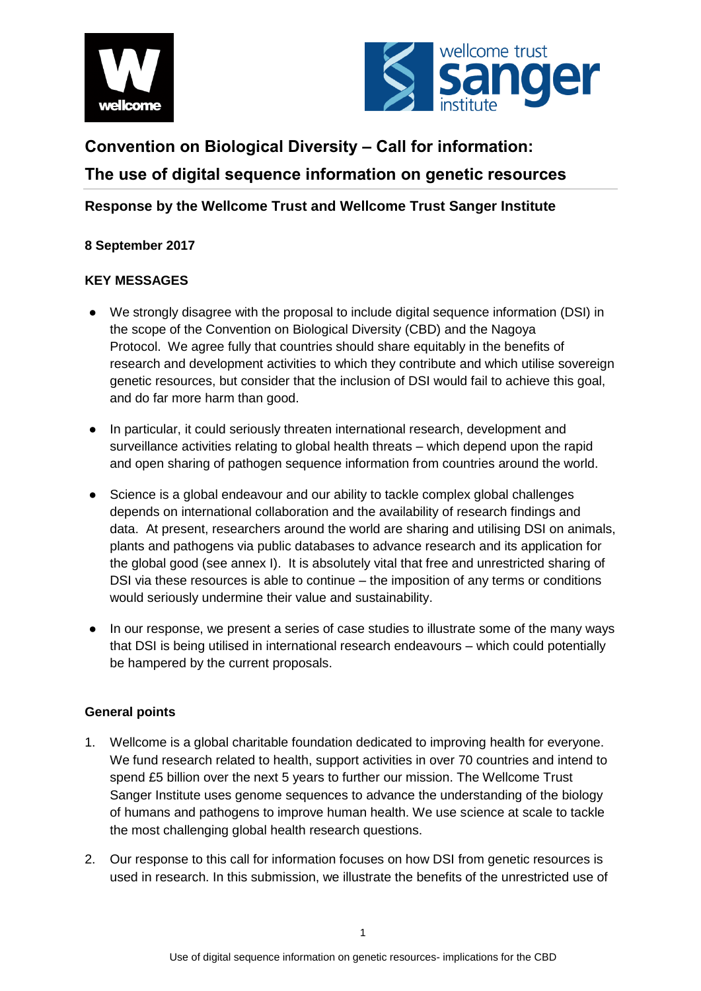



# **Convention on Biological Diversity – Call for information: The use of digital sequence information on genetic resources**

## **Response by the Wellcome Trust and Wellcome Trust Sanger Institute**

### **8 September 2017**

### **KEY MESSAGES**

- We strongly disagree with the proposal to include digital sequence information (DSI) in the scope of the Convention on Biological Diversity (CBD) and the Nagoya Protocol. We agree fully that countries should share equitably in the benefits of research and development activities to which they contribute and which utilise sovereign genetic resources, but consider that the inclusion of DSI would fail to achieve this goal, and do far more harm than good.
- In particular, it could seriously threaten international research, development and surveillance activities relating to global health threats – which depend upon the rapid and open sharing of pathogen sequence information from countries around the world.
- Science is a global endeavour and our ability to tackle complex global challenges depends on international collaboration and the availability of research findings and data. At present, researchers around the world are sharing and utilising DSI on animals, plants and pathogens via public databases to advance research and its application for the global good (see annex I). It is absolutely vital that free and unrestricted sharing of DSI via these resources is able to continue – the imposition of any terms or conditions would seriously undermine their value and sustainability.
- In our response, we present a series of case studies to illustrate some of the many ways that DSI is being utilised in international research endeavours – which could potentially be hampered by the current proposals.

#### **General points**

- 1. Wellcome is a global charitable foundation dedicated to improving health for everyone. We fund research related to health, support activities in over 70 countries and intend to spend £5 billion over the next 5 years to further our mission. The Wellcome Trust Sanger Institute uses genome sequences to advance the understanding of the biology of humans and pathogens to improve human health. We use science at scale to tackle the most challenging global health research questions.
- 2. Our response to this call for information focuses on how DSI from genetic resources is used in research. In this submission, we illustrate the benefits of the unrestricted use of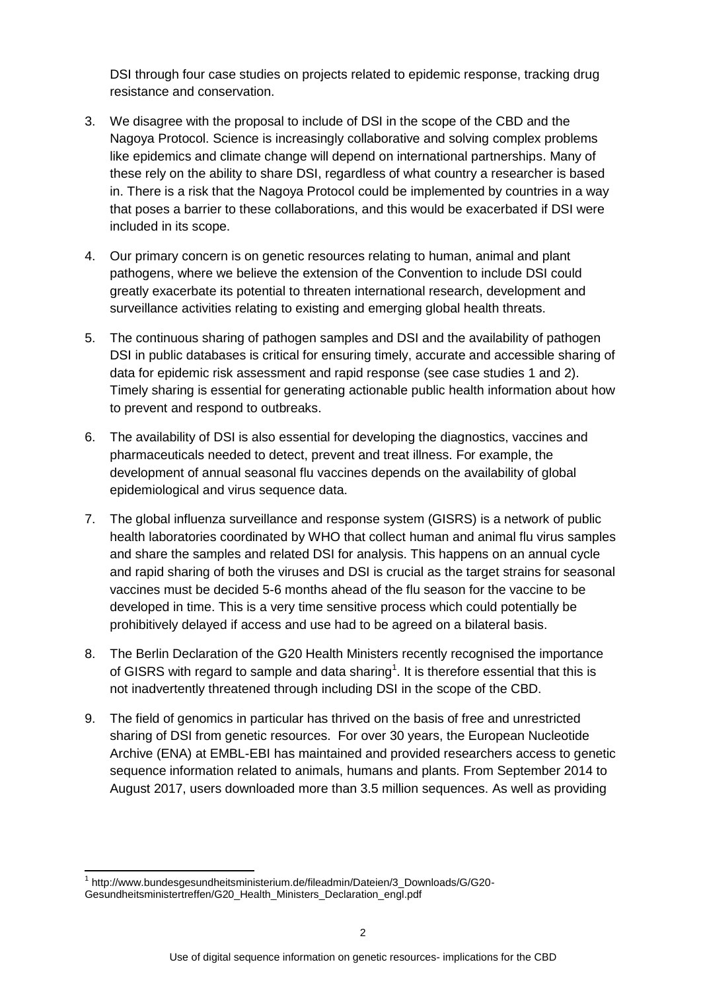DSI through four case studies on projects related to epidemic response, tracking drug resistance and conservation.

- 3. We disagree with the proposal to include of DSI in the scope of the CBD and the Nagoya Protocol. Science is increasingly collaborative and solving complex problems like epidemics and climate change will depend on international partnerships. Many of these rely on the ability to share DSI, regardless of what country a researcher is based in. There is a risk that the Nagoya Protocol could be implemented by countries in a way that poses a barrier to these collaborations, and this would be exacerbated if DSI were included in its scope.
- 4. Our primary concern is on genetic resources relating to human, animal and plant pathogens, where we believe the extension of the Convention to include DSI could greatly exacerbate its potential to threaten international research, development and surveillance activities relating to existing and emerging global health threats.
- 5. The continuous sharing of pathogen samples and DSI and the availability of pathogen DSI in public databases is critical for ensuring timely, accurate and accessible sharing of data for epidemic risk assessment and rapid response (see case studies 1 and 2). Timely sharing is essential for generating actionable public health information about how to prevent and respond to outbreaks.
- 6. The availability of DSI is also essential for developing the diagnostics, vaccines and pharmaceuticals needed to detect, prevent and treat illness. For example, the development of annual seasonal flu vaccines depends on the availability of global epidemiological and virus sequence data.
- 7. The global influenza surveillance and response system (GISRS) is a network of public health laboratories coordinated by WHO that collect human and animal flu virus samples and share the samples and related DSI for analysis. This happens on an annual cycle and rapid sharing of both the viruses and DSI is crucial as the target strains for seasonal vaccines must be decided 5-6 months ahead of the flu season for the vaccine to be developed in time. This is a very time sensitive process which could potentially be prohibitively delayed if access and use had to be agreed on a bilateral basis.
- 8. The Berlin Declaration of the G20 Health Ministers recently recognised the importance of GISRS with regard to sample and data sharing<sup>1</sup>. It is therefore essential that this is not inadvertently threatened through including DSI in the scope of the CBD.
- 9. The field of genomics in particular has thrived on the basis of free and unrestricted sharing of DSI from genetic resources. For over 30 years, the European Nucleotide Archive (ENA) at EMBL-EBI has maintained and provided researchers access to genetic sequence information related to animals, humans and plants. From September 2014 to August 2017, users downloaded more than 3.5 million sequences. As well as providing

<sup>&</sup>lt;u>.</u> <sup>1</sup> http://www.bundesgesundheitsministerium.de/fileadmin/Dateien/3\_Downloads/G/G20-Gesundheitsministertreffen/G20\_Health\_Ministers\_Declaration\_engl.pdf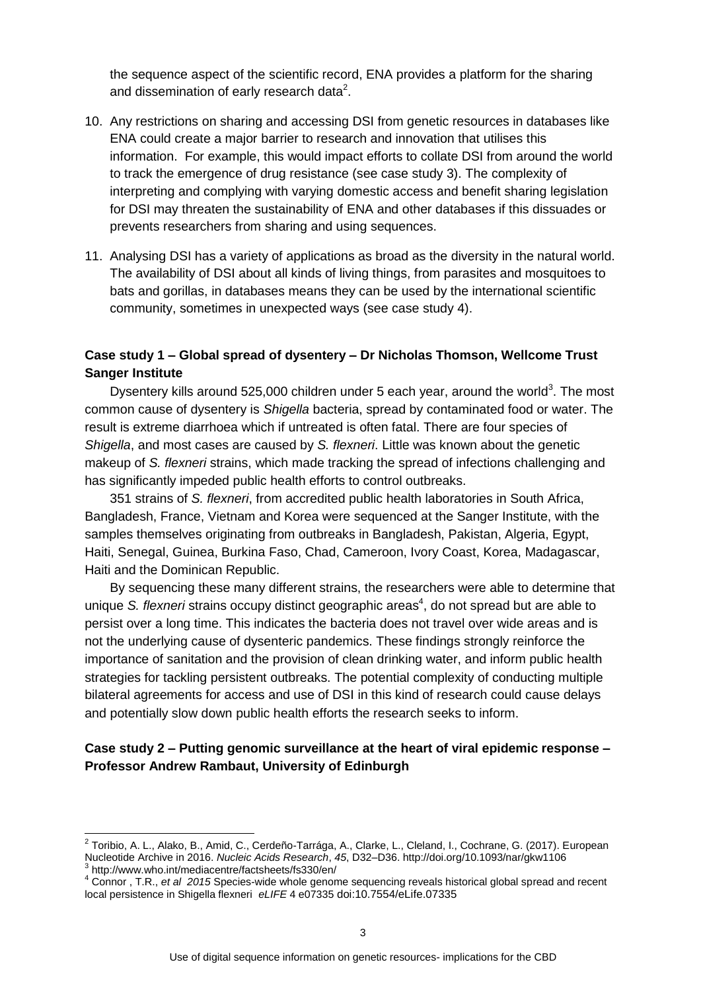the sequence aspect of the scientific record, ENA provides a platform for the sharing and dissemination of early research data<sup>2</sup>.

- 10. Any restrictions on sharing and accessing DSI from genetic resources in databases like ENA could create a major barrier to research and innovation that utilises this information. For example, this would impact efforts to collate DSI from around the world to track the emergence of drug resistance (see case study 3). The complexity of interpreting and complying with varying domestic access and benefit sharing legislation for DSI may threaten the sustainability of ENA and other databases if this dissuades or prevents researchers from sharing and using sequences.
- 11. Analysing DSI has a variety of applications as broad as the diversity in the natural world. The availability of DSI about all kinds of living things, from parasites and mosquitoes to bats and gorillas, in databases means they can be used by the international scientific community, sometimes in unexpected ways (see case study 4).

#### **Case study 1 – Global spread of dysentery – Dr Nicholas Thomson, Wellcome Trust Sanger Institute**

Dysentery kills around 525,000 children under 5 each year, around the world<sup>3</sup>. The most common cause of dysentery is *Shigella* bacteria, spread by contaminated food or water. The result is extreme diarrhoea which if untreated is often fatal. There are four species of *Shigella*, and most cases are caused by *S. flexneri*. Little was known about the genetic makeup of *S. flexneri* strains, which made tracking the spread of infections challenging and has significantly impeded public health efforts to control outbreaks.

351 strains of *S. flexneri*, from accredited public health laboratories in South Africa, Bangladesh, France, Vietnam and Korea were sequenced at the Sanger Institute, with the samples themselves originating from outbreaks in Bangladesh, Pakistan, Algeria, Egypt, Haiti, Senegal, Guinea, Burkina Faso, Chad, Cameroon, Ivory Coast, Korea, Madagascar, Haiti and the Dominican Republic.

By sequencing these many different strains, the researchers were able to determine that unique S. flexneri strains occupy distinct geographic areas<sup>4</sup>, do not spread but are able to persist over a long time. This indicates the bacteria does not travel over wide areas and is not the underlying cause of dysenteric pandemics. These findings strongly reinforce the importance of sanitation and the provision of clean drinking water, and inform public health strategies for tackling persistent outbreaks. The potential complexity of conducting multiple bilateral agreements for access and use of DSI in this kind of research could cause delays and potentially slow down public health efforts the research seeks to inform.

#### **Case study 2 – Putting genomic surveillance at the heart of viral epidemic response – Professor Andrew Rambaut, University of Edinburgh**

 2 Toribio, A. L., Alako, B., Amid, C., Cerdeño-Tarrága, A., Clarke, L., Cleland, I., Cochrane, G. (2017). European Nucleotide Archive in 2016. *Nucleic Acids Research*, *45*, D32–D36. http://doi.org/10.1093/nar/gkw1106 3 http://www.who.int/mediacentre/factsheets/fs330/en/

<sup>4</sup> Connor , T.R., *et al 2015* Species-wide whole genome sequencing reveals historical global spread and recent local persistence in Shigella flexneri *eLIFE* 4 e07335 doi:10.7554/eLife.07335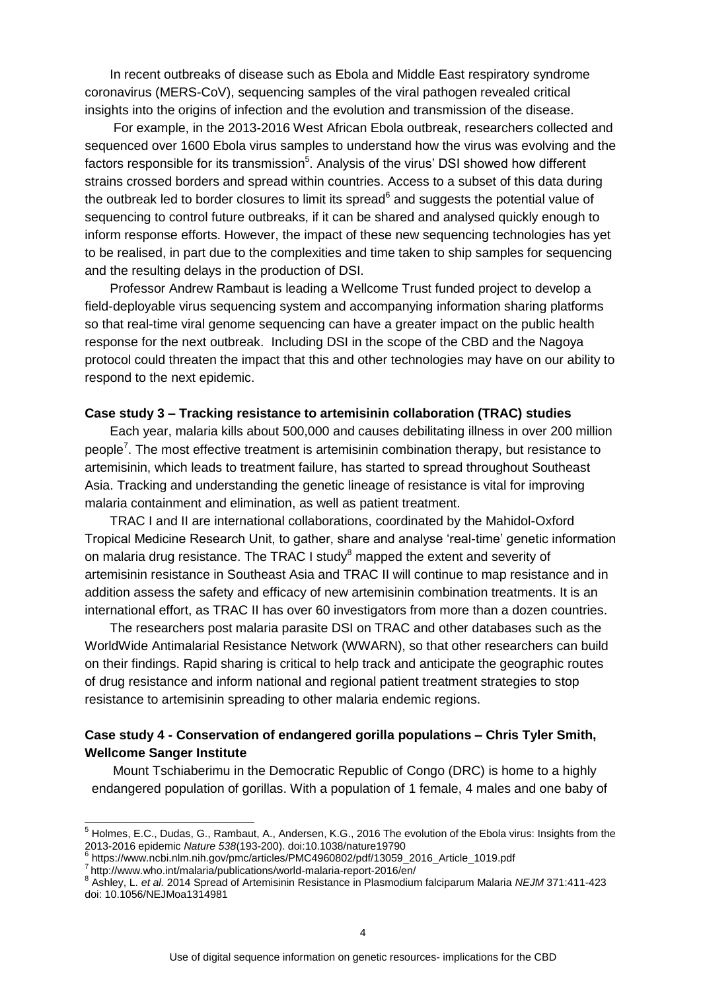In recent outbreaks of disease such as Ebola and Middle East respiratory syndrome coronavirus (MERS-CoV), sequencing samples of the viral pathogen revealed critical insights into the origins of infection and the evolution and transmission of the disease.

For example, in the 2013-2016 West African Ebola outbreak, researchers collected and sequenced over 1600 Ebola virus samples to understand how the virus was evolving and the factors responsible for its transmission<sup>5</sup>. Analysis of the virus' DSI showed how different strains crossed borders and spread within countries. Access to a subset of this data during the outbreak led to border closures to limit its spread<sup>6</sup> and suggests the potential value of sequencing to control future outbreaks, if it can be shared and analysed quickly enough to inform response efforts. However, the impact of these new sequencing technologies has yet to be realised, in part due to the complexities and time taken to ship samples for sequencing and the resulting delays in the production of DSI.

Professor Andrew Rambaut is leading a Wellcome Trust funded project to develop a field-deployable virus sequencing system and accompanying information sharing platforms so that real-time viral genome sequencing can have a greater impact on the public health response for the next outbreak. Including DSI in the scope of the CBD and the Nagoya protocol could threaten the impact that this and other technologies may have on our ability to respond to the next epidemic.

#### **Case study 3 – Tracking resistance to artemisinin collaboration (TRAC) studies**

Each year, malaria kills about 500,000 and causes debilitating illness in over 200 million people<sup>7</sup>. The most effective treatment is artemisinin combination therapy, but resistance to artemisinin, which leads to treatment failure, has started to spread throughout Southeast Asia. Tracking and understanding the genetic lineage of resistance is vital for improving malaria containment and elimination, as well as patient treatment.

TRAC I and II are international collaborations, coordinated by the Mahidol-Oxford Tropical Medicine Research Unit, to gather, share and analyse 'real-time' genetic information on malaria drug resistance. The TRAC I study $8$  mapped the extent and severity of artemisinin resistance in Southeast Asia and TRAC II will continue to map resistance and in addition assess the safety and efficacy of new artemisinin combination treatments. It is an international effort, as TRAC II has over 60 investigators from more than a dozen countries.

The researchers post malaria parasite DSI on TRAC and other databases such as the WorldWide Antimalarial Resistance Network (WWARN), so that other researchers can build on their findings. Rapid sharing is critical to help track and anticipate the geographic routes of drug resistance and inform national and regional patient treatment strategies to stop resistance to artemisinin spreading to other malaria endemic regions.

#### **Case study 4 - Conservation of endangered gorilla populations – Chris Tyler Smith, Wellcome Sanger Institute**

Mount Tschiaberimu in the Democratic Republic of Congo (DRC) is home to a highly endangered population of gorillas. With a population of 1 female, 4 males and one baby of

 $\overline{\phantom{a}}$ 

<sup>&</sup>lt;sup>5</sup> Holmes, E.C., Dudas, G., Rambaut, A., Andersen, K.G., 2016 The evolution of the Ebola virus: Insights from the 2013-2016 epidemic *Nature 538*(193-200). doi:10.1038/nature19790

<sup>6</sup> https://www.ncbi.nlm.nih.gov/pmc/articles/PMC4960802/pdf/13059\_2016\_Article\_1019.pdf 7 http://www.who.int/malaria/publications/world-malaria-report-2016/en/

<sup>8</sup> Ashley, L. *et al.* 2014 Spread of Artemisinin Resistance in Plasmodium falciparum Malaria *NEJM* 371:411-423 doi: 10.1056/NEJMoa1314981